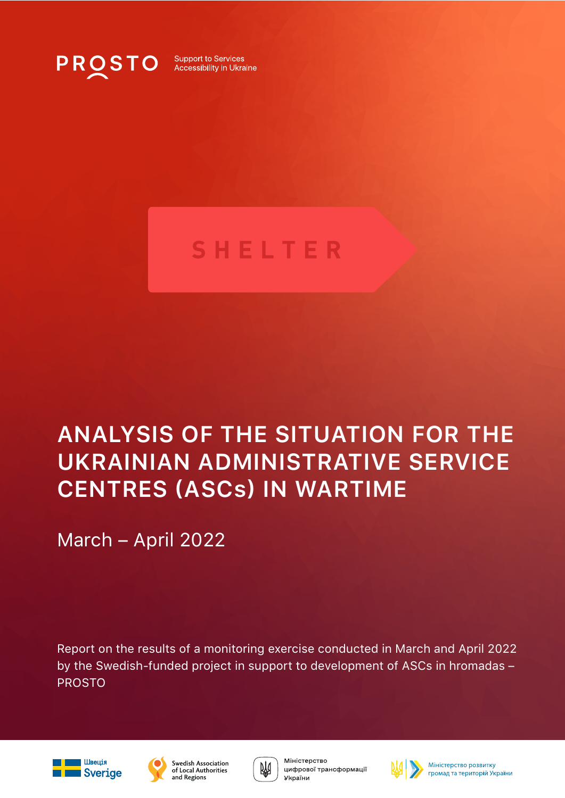

**Support to Services** Accessibility in Ukraine

# **SHELTER**

# **ANALYSIS OF THE SITUATION FOR THE UKRAINIAN ADMINISTRATIVE SERVICE CENTRES (ASCs) IN WARTIME**

March – April 2022

Report on the results of a monitoring exercise conducted in March and April 2022 by the Swedish-funded project in support to development of ASCs in hromadas – PROSTO









₩

цифрової трансформації



Міністерство розвитку громад та територій України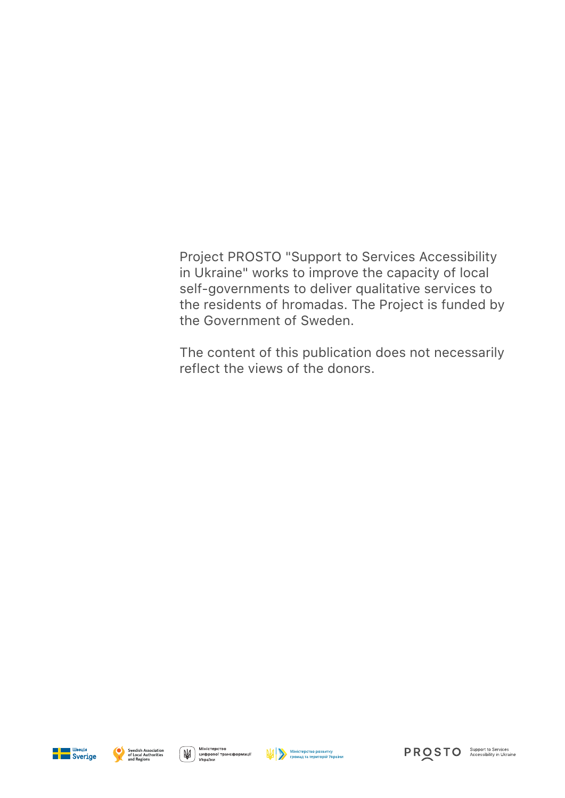Project PROSTO "Support to Services Accessibility in Ukraine" works to improve the capacity of local self-governments to deliver qualitative services to the residents of hromadas. The Project is funded by the Government of Sweden.

The content of this publication does not necessarily reflect the views of the donors.



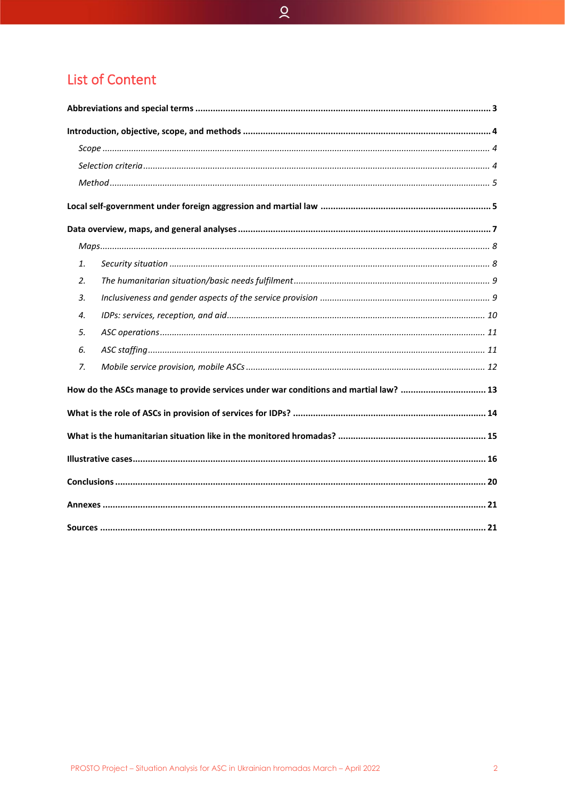# **List of Content**

|    | How do the ASCs manage to provide services under war conditions and martial law?  13 |  |  |  |  |
|----|--------------------------------------------------------------------------------------|--|--|--|--|
|    |                                                                                      |  |  |  |  |
|    |                                                                                      |  |  |  |  |
| 1. |                                                                                      |  |  |  |  |
| 2. |                                                                                      |  |  |  |  |
| 3. |                                                                                      |  |  |  |  |
| 4. |                                                                                      |  |  |  |  |
| 5. |                                                                                      |  |  |  |  |
| 6. |                                                                                      |  |  |  |  |
| 7. |                                                                                      |  |  |  |  |
|    |                                                                                      |  |  |  |  |
|    |                                                                                      |  |  |  |  |
|    |                                                                                      |  |  |  |  |
|    |                                                                                      |  |  |  |  |
|    |                                                                                      |  |  |  |  |
|    |                                                                                      |  |  |  |  |
|    |                                                                                      |  |  |  |  |

 $\alpha$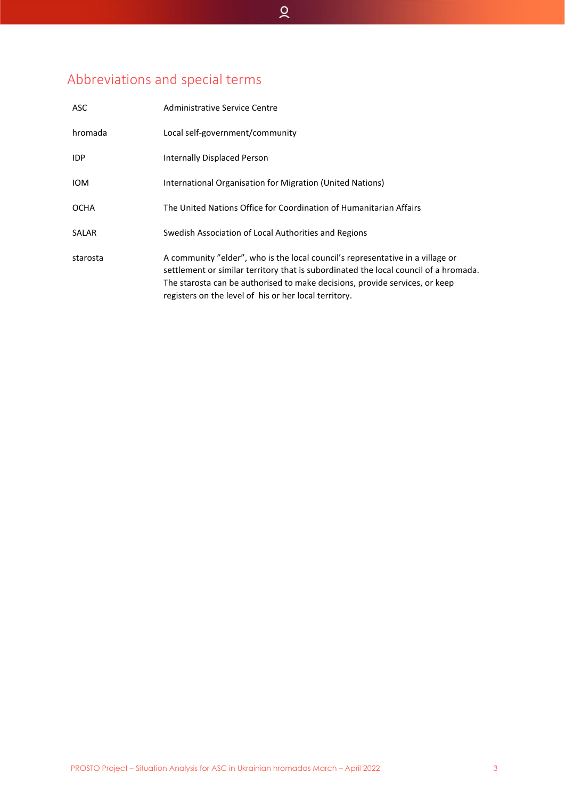# <span id="page-3-0"></span>Abbreviations and special terms

| ASC          | Administrative Service Centre                                                                                                                                                                                                                                                                                  |
|--------------|----------------------------------------------------------------------------------------------------------------------------------------------------------------------------------------------------------------------------------------------------------------------------------------------------------------|
| hromada      | Local self-government/community                                                                                                                                                                                                                                                                                |
| IDP          | Internally Displaced Person                                                                                                                                                                                                                                                                                    |
| <b>IOM</b>   | International Organisation for Migration (United Nations)                                                                                                                                                                                                                                                      |
| <b>OCHA</b>  | The United Nations Office for Coordination of Humanitarian Affairs                                                                                                                                                                                                                                             |
| <b>SALAR</b> | Swedish Association of Local Authorities and Regions                                                                                                                                                                                                                                                           |
| starosta     | A community "elder", who is the local council's representative in a village or<br>settlement or similar territory that is subordinated the local council of a hromada.<br>The starosta can be authorised to make decisions, provide services, or keep<br>registers on the level of his or her local territory. |

 $\alpha$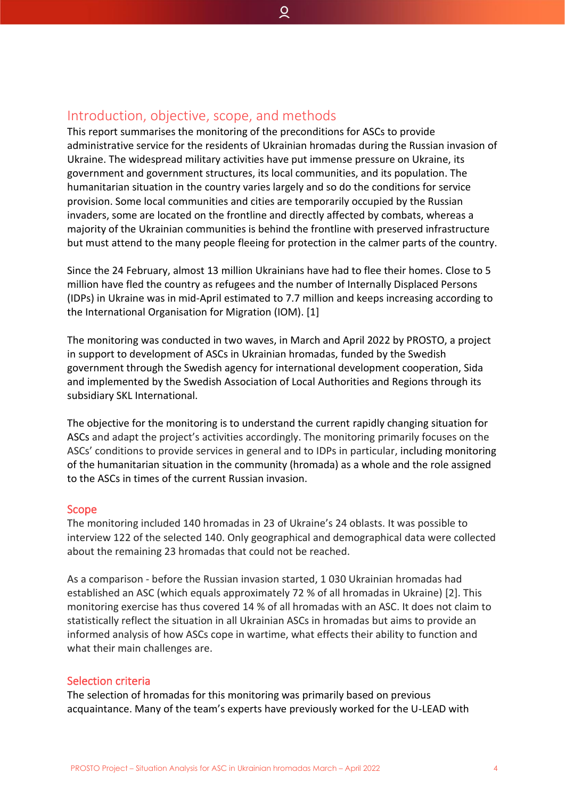## <span id="page-4-0"></span>Introduction, objective, scope, and methods

This report summarises the monitoring of the preconditions for ASCs to provide administrative service for the residents of Ukrainian hromadas during the Russian invasion of Ukraine. The widespread military activities have put immense pressure on Ukraine, its government and government structures, its local communities, and its population. The humanitarian situation in the country varies largely and so do the conditions for service provision. Some local communities and cities are temporarily occupied by the Russian invaders, some are located on the frontline and directly affected by combats, whereas a majority of the Ukrainian communities is behind the frontline with preserved infrastructure but must attend to the many people fleeing for protection in the calmer parts of the country.

ହ

Since the 24 February, almost 13 million Ukrainians have had to flee their homes. Close to 5 million have fled the country as refugees and the number of Internally Displaced Persons (IDPs) in Ukraine was in mid-April estimated to 7.7 million and keeps increasing according to the International Organisation for Migration (IOM). [1]

The monitoring was conducted in two waves, in March and April 2022 by PROSTO, a project in support to development of ASCs in Ukrainian hromadas, funded by the Swedish government through the Swedish agency for international development cooperation, Sida and implemented by the Swedish Association of Local Authorities and Regions through its subsidiary SKL International.

The objective for the monitoring is to understand the current rapidly changing situation for ASCs and adapt the project's activities accordingly. The monitoring primarily focuses on the ASCs' conditions to provide services in general and to IDPs in particular, including monitoring of the humanitarian situation in the community (hromada) as a whole and the role assigned to the ASCs in times of the current Russian invasion.

#### <span id="page-4-1"></span>Scope

The monitoring included 140 hromadas in 23 of Ukraine's 24 oblasts. It was possible to interview 122 of the selected 140. Only geographical and demographical data were collected about the remaining 23 hromadas that could not be reached.

As a comparison - before the Russian invasion started, 1 030 Ukrainian hromadas had established an ASC (which equals approximately 72 % of all hromadas in Ukraine) [2]. This monitoring exercise has thus covered 14 % of all hromadas with an ASC. It does not claim to statistically reflect the situation in all Ukrainian ASCs in hromadas but aims to provide an informed analysis of how ASCs cope in wartime, what effects their ability to function and what their main challenges are.

#### <span id="page-4-2"></span>Selection criteria

The selection of hromadas for this monitoring was primarily based on previous acquaintance. Many of the team's experts have previously worked for the U-LEAD with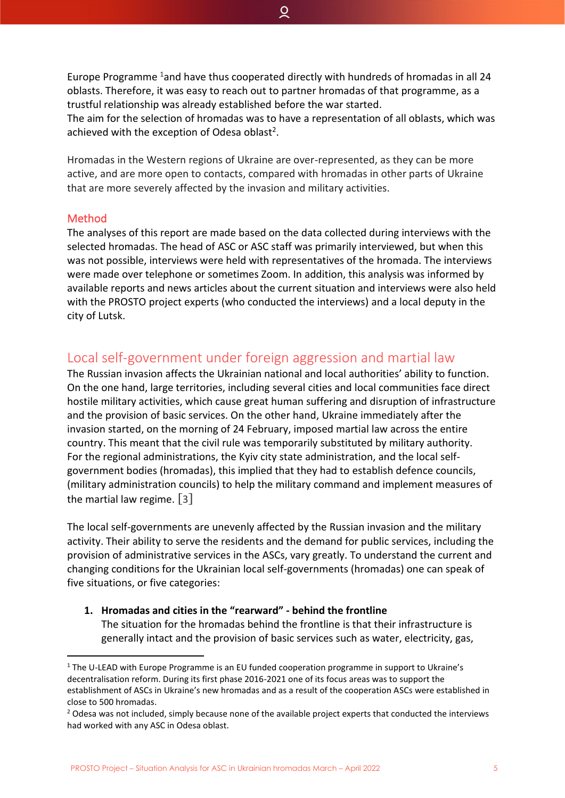Europe Programme  $1$  and have thus cooperated directly with hundreds of hromadas in all 24 oblasts. Therefore, it was easy to reach out to partner hromadas of that programme, as a trustful relationship was already established before the war started. The aim for the selection of hromadas was to have a representation of all oblasts, which was achieved with the exception of Odesa oblast<sup>2</sup>.

ୁ

Hromadas in the Western regions of Ukraine are over-represented, as they can be more active, and are more open to contacts, compared with hromadas in other parts of Ukraine that are more severely affected by the invasion and military activities.

#### <span id="page-5-0"></span>Method

The analyses of this report are made based on the data collected during interviews with the selected hromadas. The head of ASC or ASC staff was primarily interviewed, but when this was not possible, interviews were held with representatives of the hromada. The interviews were made over telephone or sometimes Zoom. In addition, this analysis was informed by available reports and news articles about the current situation and interviews were also held with the PROSTO project experts (who conducted the interviews) and a local deputy in the city of Lutsk.

# <span id="page-5-1"></span>Local self-government under foreign aggression and martial law

The Russian invasion affects the Ukrainian national and local authorities' ability to function. On the one hand, large territories, including several cities and local communities face direct hostile military activities, which cause great human suffering and disruption of infrastructure and the provision of basic services. On the other hand, Ukraine immediately after the invasion started, on the morning of 24 February, imposed martial law across the entire country. This meant that the civil rule was temporarily substituted by military authority. For the regional administrations, the Kyiv city state administration, and the local selfgovernment bodies (hromadas), this implied that they had to establish defence councils, (military administration councils) to help the military command and implement measures of the martial law regime. [3]

The local self-governments are unevenly affected by the Russian invasion and the military activity. Their ability to serve the residents and the demand for public services, including the provision of administrative services in the ASCs, vary greatly. To understand the current and changing conditions for the Ukrainian local self-governments (hromadas) one can speak of five situations, or five categories:

**1. Hromadas and cities in the "rearward" - behind the frontline**

The situation for the hromadas behind the frontline is that their infrastructure is generally intact and the provision of basic services such as water, electricity, gas,

<sup>&</sup>lt;sup>1</sup> The U-LEAD with Europe Programme is an EU funded cooperation programme in support to Ukraine's decentralisation reform. During its first phase 2016-2021 one of its focus areas was to support the establishment of ASCs in Ukraine's new hromadas and as a result of the cooperation ASCs were established in close to 500 hromadas.

<sup>&</sup>lt;sup>2</sup> Odesa was not included, simply because none of the available project experts that conducted the interviews had worked with any ASC in Odesa oblast.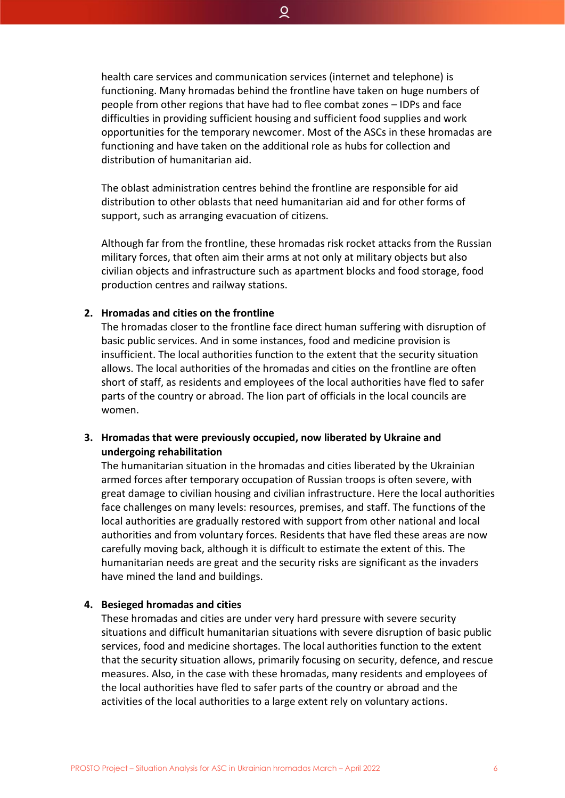health care services and communication services (internet and telephone) is functioning. Many hromadas behind the frontline have taken on huge numbers of people from other regions that have had to flee combat zones – IDPs and face difficulties in providing sufficient housing and sufficient food supplies and work opportunities for the temporary newcomer. Most of the ASCs in these hromadas are functioning and have taken on the additional role as hubs for collection and distribution of humanitarian aid.

The oblast administration centres behind the frontline are responsible for aid distribution to other oblasts that need humanitarian aid and for other forms of support, such as arranging evacuation of citizens.

Although far from the frontline, these hromadas risk rocket attacks from the Russian military forces, that often aim their arms at not only at military objects but also civilian objects and infrastructure such as apartment blocks and food storage, food production centres and railway stations.

#### **2. Hromadas and cities on the frontline**

The hromadas closer to the frontline face direct human suffering with disruption of basic public services. And in some instances, food and medicine provision is insufficient. The local authorities function to the extent that the security situation allows. The local authorities of the hromadas and cities on the frontline are often short of staff, as residents and employees of the local authorities have fled to safer parts of the country or abroad. The lion part of officials in the local councils are women.

#### **3. Hromadas that were previously occupied, now liberated by Ukraine and undergoing rehabilitation**

The humanitarian situation in the hromadas and cities liberated by the Ukrainian armed forces after temporary occupation of Russian troops is often severe, with great damage to civilian housing and civilian infrastructure. Here the local authorities face challenges on many levels: resources, premises, and staff. The functions of the local authorities are gradually restored with support from other national and local authorities and from voluntary forces. Residents that have fled these areas are now carefully moving back, although it is difficult to estimate the extent of this. The humanitarian needs are great and the security risks are significant as the invaders have mined the land and buildings.

#### **4. Besieged hromadas and cities**

These hromadas and cities are under very hard pressure with severe security situations and difficult humanitarian situations with severe disruption of basic public services, food and medicine shortages. The local authorities function to the extent that the security situation allows, primarily focusing on security, defence, and rescue measures. Also, in the case with these hromadas, many residents and employees of the local authorities have fled to safer parts of the country or abroad and the activities of the local authorities to a large extent rely on voluntary actions.

ହ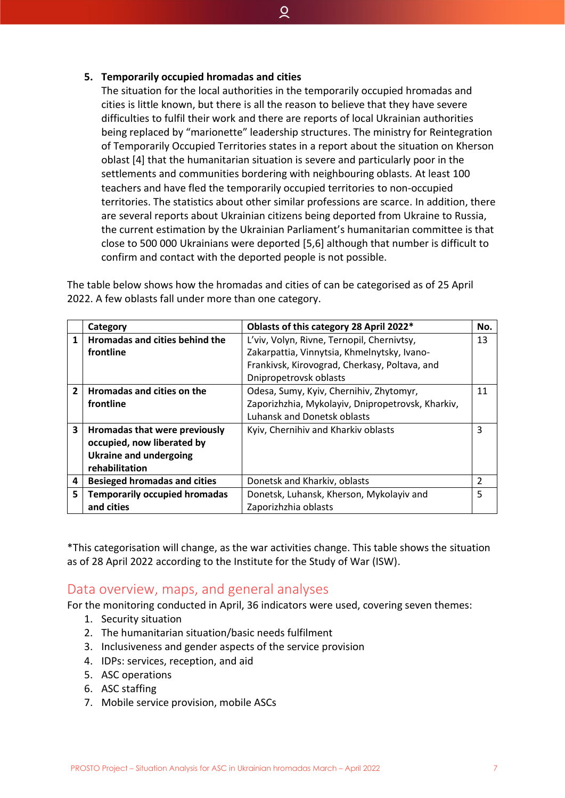#### **5. Temporarily occupied hromadas and cities**

The situation for the local authorities in the temporarily occupied hromadas and cities is little known, but there is all the reason to believe that they have severe difficulties to fulfil their work and there are reports of local Ukrainian authorities being replaced by "marionette" leadership structures. The ministry for Reintegration of Temporarily Occupied Territories states in a report about the situation on Kherson oblast [4] that the humanitarian situation is severe and particularly poor in the settlements and communities bordering with neighbouring oblasts. At least 100 teachers and have fled the temporarily occupied territories to non-occupied territories. The statistics about other similar professions are scarce. In addition, there are several reports about Ukrainian citizens being deported from Ukraine to Russia, the current estimation by the Ukrainian Parliament's humanitarian committee is that close to 500 000 Ukrainians were deported [5,6] although that number is difficult to confirm and contact with the deported people is not possible.

ୁ

|                | Category                              | Oblasts of this category 28 April 2022*           | No.           |
|----------------|---------------------------------------|---------------------------------------------------|---------------|
| 1              | <b>Hromadas and cities behind the</b> | L'viv, Volyn, Rivne, Ternopil, Chernivtsy,        | 13            |
|                | frontline                             | Zakarpattia, Vinnytsia, Khmelnytsky, Ivano-       |               |
|                |                                       | Frankivsk, Kirovograd, Cherkasy, Poltava, and     |               |
|                |                                       | Dnipropetrovsk oblasts                            |               |
| $\overline{2}$ | <b>Hromadas and cities on the</b>     | Odesa, Sumy, Kyiv, Chernihiv, Zhytomyr,           | 11            |
|                | frontline                             | Zaporizhzhia, Mykolayiv, Dnipropetrovsk, Kharkiv, |               |
|                |                                       | <b>Luhansk and Donetsk oblasts</b>                |               |
| 3              | Hromadas that were previously         | Kyiv, Chernihiv and Kharkiv oblasts               | 3             |
|                | occupied, now liberated by            |                                                   |               |
|                | <b>Ukraine and undergoing</b>         |                                                   |               |
|                | rehabilitation                        |                                                   |               |
| 4              | <b>Besieged hromadas and cities</b>   | Donetsk and Kharkiv, oblasts                      | $\mathcal{P}$ |
| 5              | <b>Temporarily occupied hromadas</b>  | Donetsk, Luhansk, Kherson, Mykolayiv and          | 5             |
|                | and cities                            | Zaporizhzhia oblasts                              |               |

The table below shows how the hromadas and cities of can be categorised as of 25 April 2022. A few oblasts fall under more than one category.

\*This categorisation will change, as the war activities change. This table shows the situation as of 28 April 2022 according to the Institute for the Study of War (ISW).

## <span id="page-7-0"></span>Data overview, maps, and general analyses

For the monitoring conducted in April, 36 indicators were used, covering seven themes:

- 1. Security situation
- 2. The humanitarian situation/basic needs fulfilment
- 3. Inclusiveness and gender aspects of the service provision
- 4. IDPs: services, reception, and aid
- 5. ASC operations
- 6. ASC staffing
- 7. Mobile service provision, mobile ASCs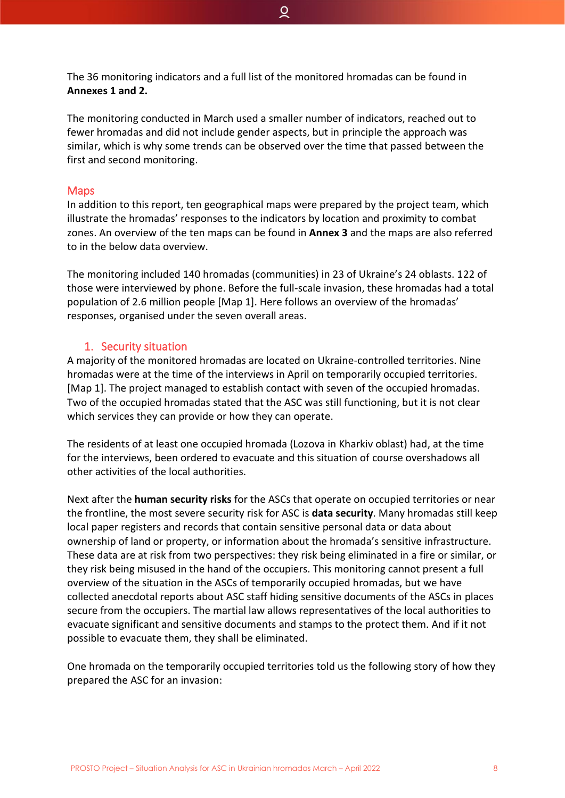The 36 monitoring indicators and a full list of the monitored hromadas can be found in **Annexes 1 and 2.**

ୁ

The monitoring conducted in March used a smaller number of indicators, reached out to fewer hromadas and did not include gender aspects, but in principle the approach was similar, which is why some trends can be observed over the time that passed between the first and second monitoring.

#### <span id="page-8-0"></span>Maps

In addition to this report, ten geographical maps were prepared by the project team, which illustrate the hromadas' responses to the indicators by location and proximity to combat zones. An overview of the ten maps can be found in **Annex 3** and the maps are also referred to in the below data overview.

The monitoring included 140 hromadas (communities) in 23 of Ukraine's 24 oblasts. 122 of those were interviewed by phone. Before the full-scale invasion, these hromadas had a total population of 2.6 million people [Map 1]. Here follows an overview of the hromadas' responses, organised under the seven overall areas.

#### 1. Security situation

<span id="page-8-1"></span>A majority of the monitored hromadas are located on Ukraine-controlled territories. Nine hromadas were at the time of the interviews in April on temporarily occupied territories. [Map 1]. The project managed to establish contact with seven of the occupied hromadas. Two of the occupied hromadas stated that the ASC was still functioning, but it is not clear which services they can provide or how they can operate.

The residents of at least one occupied hromada (Lozova in Kharkiv oblast) had, at the time for the interviews, been ordered to evacuate and this situation of course overshadows all other activities of the local authorities.

Next after the **human security risks** for the ASCs that operate on occupied territories or near the frontline, the most severe security risk for ASC is **data security**. Many hromadas still keep local paper registers and records that contain sensitive personal data or data about ownership of land or property, or information about the hromada's sensitive infrastructure. These data are at risk from two perspectives: they risk being eliminated in a fire or similar, or they risk being misused in the hand of the occupiers. This monitoring cannot present a full overview of the situation in the ASCs of temporarily occupied hromadas, but we have collected anecdotal reports about ASC staff hiding sensitive documents of the ASCs in places secure from the occupiers. The martial law allows representatives of the local authorities to evacuate significant and sensitive documents and stamps to the protect them. And if it not possible to evacuate them, they shall be eliminated.

One hromada on the temporarily occupied territories told us the following story of how they prepared the ASC for an invasion: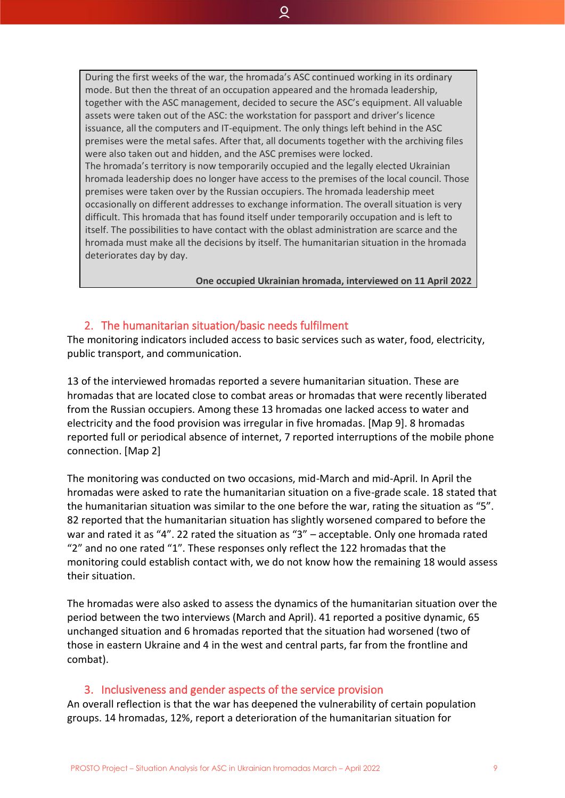During the first weeks of the war, the hromada's ASC continued working in its ordinary mode. But then the threat of an occupation appeared and the hromada leadership, together with the ASC management, decided to secure the ASC's equipment. All valuable assets were taken out of the ASC: the workstation for passport and driver's licence issuance, all the computers and IT-equipment. The only things left behind in the ASC premises were the metal safes. After that, all documents together with the archiving files were also taken out and hidden, and the ASC premises were locked. The hromada's territory is now temporarily occupied and the legally elected Ukrainian hromada leadership does no longer have access to the premises of the local council. Those premises were taken over by the Russian occupiers. The hromada leadership meet occasionally on different addresses to exchange information. The overall situation is very difficult. This hromada that has found itself under temporarily occupation and is left to itself. The possibilities to have contact with the oblast administration are scarce and the hromada must make all the decisions by itself. The humanitarian situation in the hromada deteriorates day by day.

 $\overline{Q}$ 

**One occupied Ukrainian hromada, interviewed on 11 April 2022**

#### 2. The humanitarian situation/basic needs fulfilment

<span id="page-9-0"></span>The monitoring indicators included access to basic services such as water, food, electricity, public transport, and communication.

13 of the interviewed hromadas reported a severe humanitarian situation. These are hromadas that are located close to combat areas or hromadas that were recently liberated from the Russian occupiers. Among these 13 hromadas one lacked access to water and electricity and the food provision was irregular in five hromadas. [Map 9]. 8 hromadas reported full or periodical absence of internet, 7 reported interruptions of the mobile phone connection. [Map 2]

The monitoring was conducted on two occasions, mid-March and mid-April. In April the hromadas were asked to rate the humanitarian situation on a five-grade scale. 18 stated that the humanitarian situation was similar to the one before the war, rating the situation as "5". 82 reported that the humanitarian situation has slightly worsened compared to before the war and rated it as "4". 22 rated the situation as "3" – acceptable. Only one hromada rated "2" and no one rated "1". These responses only reflect the 122 hromadas that the monitoring could establish contact with, we do not know how the remaining 18 would assess their situation.

The hromadas were also asked to assess the dynamics of the humanitarian situation over the period between the two interviews (March and April). 41 reported a positive dynamic, 65 unchanged situation and 6 hromadas reported that the situation had worsened (two of those in eastern Ukraine and 4 in the west and central parts, far from the frontline and combat).

#### 3. Inclusiveness and gender aspects of the service provision

<span id="page-9-1"></span>An overall reflection is that the war has deepened the vulnerability of certain population groups. 14 hromadas, 12%, report a deterioration of the humanitarian situation for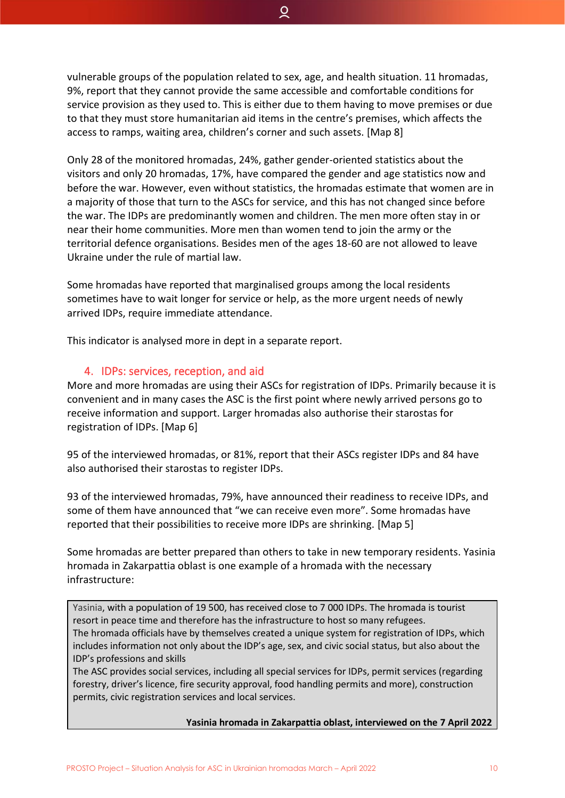vulnerable groups of the population related to sex, age, and health situation. 11 hromadas, 9%, report that they cannot provide the same accessible and comfortable conditions for service provision as they used to. This is either due to them having to move premises or due to that they must store humanitarian aid items in the centre's premises, which affects the access to ramps, waiting area, children's corner and such assets. [Map 8]

Q

Only 28 of the monitored hromadas, 24%, gather gender-oriented statistics about the visitors and only 20 hromadas, 17%, have compared the gender and age statistics now and before the war. However, even without statistics, the hromadas estimate that women are in a majority of those that turn to the ASCs for service, and this has not changed since before the war. The IDPs are predominantly women and children. The men more often stay in or near their home communities. More men than women tend to join the army or the territorial defence organisations. Besides men of the ages 18-60 are not allowed to leave Ukraine under the rule of martial law.

Some hromadas have reported that marginalised groups among the local residents sometimes have to wait longer for service or help, as the more urgent needs of newly arrived IDPs, require immediate attendance.

This indicator is analysed more in dept in a separate report.

#### 4. IDPs: services, reception, and aid

<span id="page-10-0"></span>More and more hromadas are using their ASCs for registration of IDPs. Primarily because it is convenient and in many cases the ASC is the first point where newly arrived persons go to receive information and support. Larger hromadas also authorise their starostas for registration of IDPs. [Map 6]

95 of the interviewed hromadas, or 81%, report that their ASCs register IDPs and 84 have also authorised their starostas to register IDPs.

93 of the interviewed hromadas, 79%, have announced their readiness to receive IDPs, and some of them have announced that "we can receive even more". Some hromadas have reported that their possibilities to receive more IDPs are shrinking. [Map 5]

Some hromadas are better prepared than others to take in new temporary residents. Yasinia hromada in Zakarpattia oblast is one example of a hromada with the necessary infrastructure:

Yasinia, with a population of 19 500, has received close to 7 000 IDPs. The hromada is tourist resort in peace time and therefore has the infrastructure to host so many refugees. The hromada officials have by themselves created a unique system for registration of IDPs, which includes information not only about the IDP's age, sex, and civic social status, but also about the IDP's professions and skills

The ASC provides social services, including all special services for IDPs, permit services (regarding forestry, driver's licence, fire security approval, food handling permits and more), construction permits, civic registration services and local services.

**Yasinia hromada in Zakarpattia oblast, interviewed on the 7 April 2022**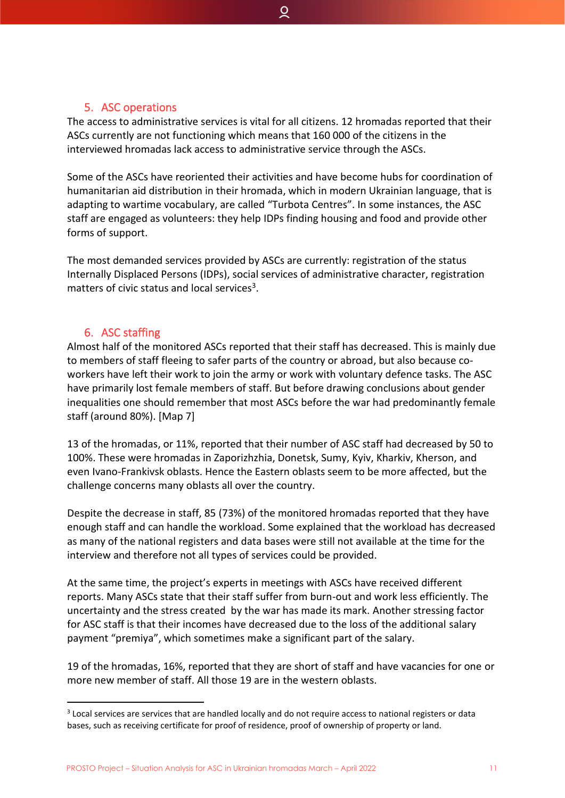#### <span id="page-11-0"></span>5. ASC operations

The access to administrative services is vital for all citizens. 12 hromadas reported that their ASCs currently are not functioning which means that 160 000 of the citizens in the interviewed hromadas lack access to administrative service through the ASCs.

 $\overline{Q}$ 

Some of the ASCs have reoriented their activities and have become hubs for coordination of humanitarian aid distribution in their hromada, which in modern Ukrainian language, that is adapting to wartime vocabulary, are called "Turbota Centres". In some instances, the ASC staff are engaged as volunteers: they help IDPs finding housing and food and provide other forms of support.

The most demanded services provided by ASCs are currently: registration of the status Internally Displaced Persons (IDPs), social services of administrative character, registration matters of civic status and local services<sup>3</sup>.

#### 6. ASC staffing

<span id="page-11-1"></span>Almost half of the monitored ASCs reported that their staff has decreased. This is mainly due to members of staff fleeing to safer parts of the country or abroad, but also because coworkers have left their work to join the army or work with voluntary defence tasks. The ASC have primarily lost female members of staff. But before drawing conclusions about gender inequalities one should remember that most ASCs before the war had predominantly female staff (around 80%). [Map 7]

13 of the hromadas, or 11%, reported that their number of ASC staff had decreased by 50 to 100%. These were hromadas in Zaporizhzhia, Donetsk, Sumy, Kyiv, Kharkiv, Kherson, and even Ivano-Frankivsk oblasts. Hence the Eastern oblasts seem to be more affected, but the challenge concerns many oblasts all over the country.

Despite the decrease in staff, 85 (73%) of the monitored hromadas reported that they have enough staff and can handle the workload. Some explained that the workload has decreased as many of the national registers and data bases were still not available at the time for the interview and therefore not all types of services could be provided.

At the same time, the project's experts in meetings with ASCs have received different reports. Many ASCs state that their staff suffer from burn-out and work less efficiently. The uncertainty and the stress created by the war has made its mark. Another stressing factor for ASC staff is that their incomes have decreased due to the loss of the additional salary payment "premiya", which sometimes make a significant part of the salary.

19 of the hromadas, 16%, reported that they are short of staff and have vacancies for one or more new member of staff. All those 19 are in the western oblasts.

<sup>&</sup>lt;sup>3</sup> Local services are services that are handled locally and do not require access to national registers or data bases, such as receiving certificate for proof of residence, proof of ownership of property or land.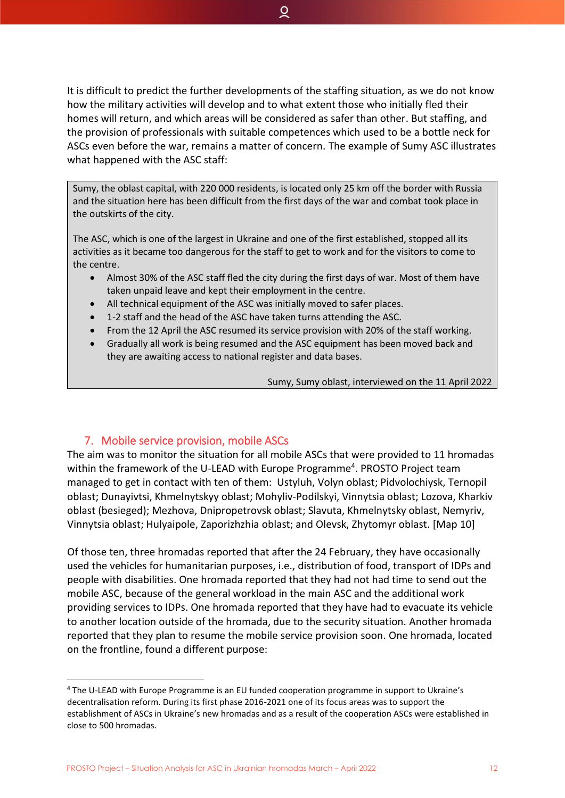It is difficult to predict the further developments of the staffing situation, as we do not know how the military activities will develop and to what extent those who initially fled their homes will return, and which areas will be considered as safer than other. But staffing, and the provision of professionals with suitable competences which used to be a bottle neck for ASCs even before the war, remains a matter of concern. The example of Sumy ASC illustrates what happened with the ASC staff:

ହ

Sumy, the oblast capital, with 220 000 residents, is located only 25 km off the border with Russia and the situation here has been difficult from the first days of the war and combat took place in the outskirts of the city.

The ASC, which is one of the largest in Ukraine and one of the first established, stopped all its activities as it became too dangerous for the staff to get to work and for the visitors to come to the centre.

- Almost 30% of the ASC staff fled the city during the first days of war. Most of them have taken unpaid leave and kept their employment in the centre.
- All technical equipment of the ASC was initially moved to safer places.
- 1-2 staff and the head of the ASC have taken turns attending the ASC.
- From the 12 April the ASC resumed its service provision with 20% of the staff working.
- Gradually all work is being resumed and the ASC equipment has been moved back and they are awaiting access to national register and data bases.

Sumy, Sumy oblast, interviewed on the 11 April 2022

#### 7. Mobile service provision, mobile ASCs

<span id="page-12-0"></span>The aim was to monitor the situation for all mobile ASCs that were provided to 11 hromadas within the framework of the U-LEAD with Europe Programme<sup>4</sup>. PROSTO Project team managed to get in contact with ten of them: Ustyluh, Volyn oblast; Pidvolochiysk, Ternopil oblast; Dunayivtsi, Khmelnytskyy oblast; Mohyliv-Podilskyi, Vinnytsia oblast; Lozova, Kharkiv oblast (besieged); Mezhova, Dnipropetrovsk oblast; Slavuta, Khmelnytsky oblast, Nemyriv, Vinnytsia oblast; Hulyaipole, Zaporizhzhia oblast; and Olevsk, Zhytomyr oblast. [Map 10]

Of those ten, three hromadas reported that after the 24 February, they have occasionally used the vehicles for humanitarian purposes, i.e., distribution of food, transport of IDPs and people with disabilities. One hromada reported that they had not had time to send out the mobile ASC, because of the general workload in the main ASC and the additional work providing services to IDPs. One hromada reported that they have had to evacuate its vehicle to another location outside of the hromada, due to the security situation. Another hromada reported that they plan to resume the mobile service provision soon. One hromada, located on the frontline, found a different purpose:

PROSTO Project – Situation Analysis for ASC in Ukrainian hromadas March – April 2022 12

<sup>4</sup> The U-LEAD with Europe Programme is an EU funded cooperation programme in support to Ukraine's decentralisation reform. During its first phase 2016-2021 one of its focus areas was to support the establishment of ASCs in Ukraine's new hromadas and as a result of the cooperation ASCs were established in close to 500 hromadas.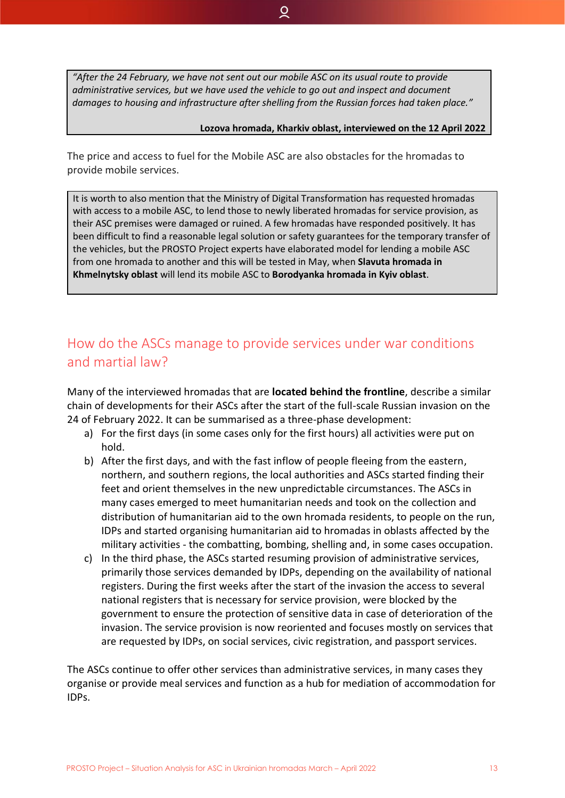*"After the 24 February, we have not sent out our mobile ASC on its usual route to provide administrative services, but we have used the vehicle to go out and inspect and document damages to housing and infrastructure after shelling from the Russian forces had taken place."*

ୁ

#### **Lozova hromada, Kharkiv oblast, interviewed on the 12 April 2022**

The price and access to fuel for the Mobile ASC are also obstacles for the hromadas to provide mobile services.

It is worth to also mention that the Ministry of Digital Transformation has requested hromadas with access to a mobile ASC, to lend those to newly liberated hromadas for service provision, as their ASC premises were damaged or ruined. A few hromadas have responded positively. It has been difficult to find a reasonable legal solution or safety guarantees for the temporary transfer of the vehicles, but the PROSTO Project experts have elaborated model for lending a mobile ASC from one hromada to another and this will be tested in May, when **Slavuta hromada in Khmelnytsky oblast** will lend its mobile ASC to **Borodyanka hromada in Kyiv oblast**.

# <span id="page-13-0"></span>How do the ASCs manage to provide services under war conditions and martial law?

Many of the interviewed hromadas that are **located behind the frontline**, describe a similar chain of developments for their ASCs after the start of the full-scale Russian invasion on the 24 of February 2022. It can be summarised as a three-phase development:

- a) For the first days (in some cases only for the first hours) all activities were put on hold.
- b) After the first days, and with the fast inflow of people fleeing from the eastern, northern, and southern regions, the local authorities and ASCs started finding their feet and orient themselves in the new unpredictable circumstances. The ASCs in many cases emerged to meet humanitarian needs and took on the collection and distribution of humanitarian aid to the own hromada residents, to people on the run, IDPs and started organising humanitarian aid to hromadas in oblasts affected by the military activities - the combatting, bombing, shelling and, in some cases occupation.
- c) In the third phase, the ASCs started resuming provision of administrative services, primarily those services demanded by IDPs, depending on the availability of national registers. During the first weeks after the start of the invasion the access to several national registers that is necessary for service provision, were blocked by the government to ensure the protection of sensitive data in case of deterioration of the invasion. The service provision is now reoriented and focuses mostly on services that are requested by IDPs, on social services, civic registration, and passport services.

The ASCs continue to offer other services than administrative services, in many cases they organise or provide meal services and function as a hub for mediation of accommodation for IDPs.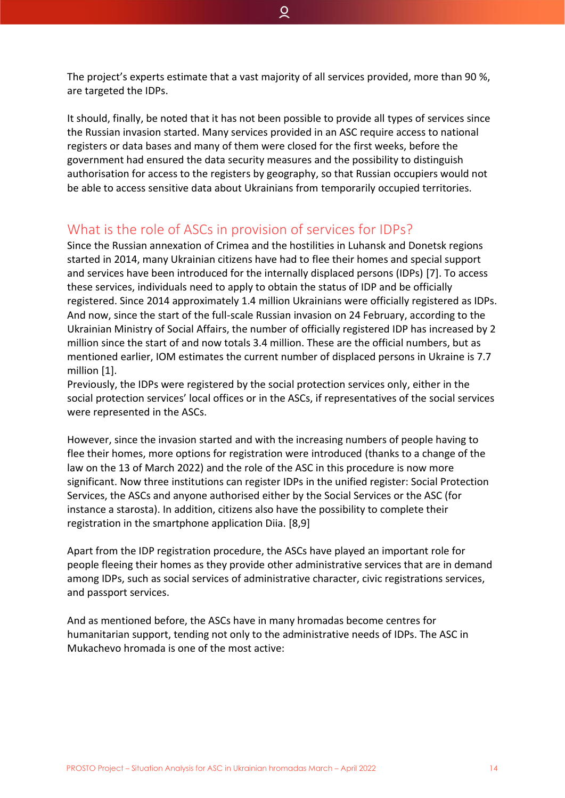The project's experts estimate that a vast majority of all services provided, more than 90 %, are targeted the IDPs.

It should, finally, be noted that it has not been possible to provide all types of services since the Russian invasion started. Many services provided in an ASC require access to national registers or data bases and many of them were closed for the first weeks, before the government had ensured the data security measures and the possibility to distinguish authorisation for access to the registers by geography, so that Russian occupiers would not be able to access sensitive data about Ukrainians from temporarily occupied territories.

# <span id="page-14-0"></span>What is the role of ASCs in provision of services for IDPs?

Since the Russian annexation of Crimea and the hostilities in Luhansk and Donetsk regions started in 2014, many Ukrainian citizens have had to flee their homes and special support and services have been introduced for the internally displaced persons (IDPs) [7]. To access these services, individuals need to apply to obtain the status of IDP and be officially registered. Since 2014 approximately 1.4 million Ukrainians were officially registered as IDPs. And now, since the start of the full-scale Russian invasion on 24 February, according to the Ukrainian Ministry of Social Affairs, the number of officially registered IDP has increased by 2 million since the start of and now totals 3.4 million. These are the official numbers, but as mentioned earlier, IOM estimates the current number of displaced persons in Ukraine is 7.7 million [1].

Previously, the IDPs were registered by the social protection services only, either in the social protection services' local offices or in the ASCs, if representatives of the social services were represented in the ASCs.

However, since the invasion started and with the increasing numbers of people having to flee their homes, more options for registration were introduced (thanks to a change of the law on the 13 of March 2022) and the role of the ASC in this procedure is now more significant. Now three institutions can register IDPs in the unified register: Social Protection Services, the ASCs and anyone authorised either by the Social Services or the ASC (for instance a starosta). In addition, citizens also have the possibility to complete their registration in the smartphone application Diia. [8,9]

Apart from the IDP registration procedure, the ASCs have played an important role for people fleeing their homes as they provide other administrative services that are in demand among IDPs, such as social services of administrative character, civic registrations services, and passport services.

And as mentioned before, the ASCs have in many hromadas become centres for humanitarian support, tending not only to the administrative needs of IDPs. The ASC in Mukachevo hromada is one of the most active: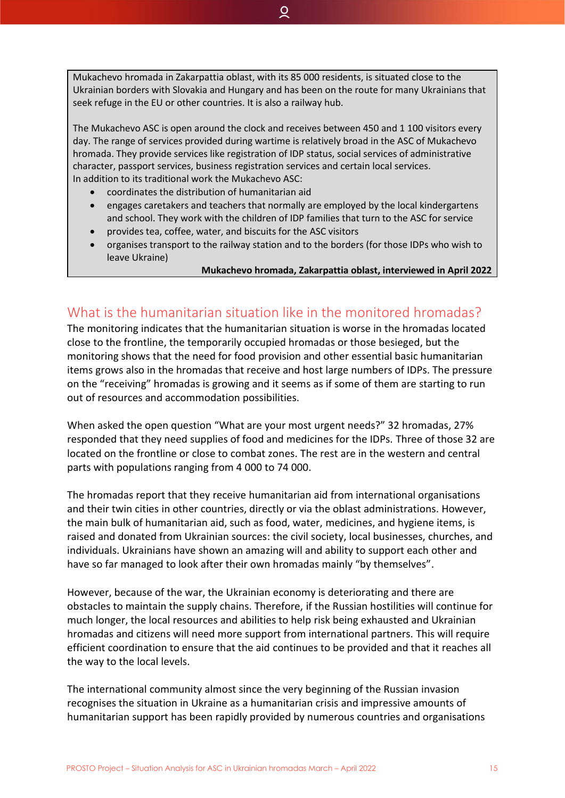Mukachevo hromada in Zakarpattia oblast, with its 85 000 residents, is situated close to the Ukrainian borders with Slovakia and Hungary and has been on the route for many Ukrainians that seek refuge in the EU or other countries. It is also a railway hub.

 $\overline{Q}$ 

The Mukachevo ASC is open around the clock and receives between 450 and 1 100 visitors every day. The range of services provided during wartime is relatively broad in the ASC of Mukachevo hromada. They provide services like registration of IDP status, social services of administrative character, passport services, business registration services and certain local services. In addition to its traditional work the Mukachevo ASC:

- coordinates the distribution of humanitarian aid
- engages caretakers and teachers that normally are employed by the local kindergartens and school. They work with the children of IDP families that turn to the ASC for service
- provides tea, coffee, water, and biscuits for the ASC visitors
- organises transport to the railway station and to the borders (for those IDPs who wish to leave Ukraine)

#### **Mukachevo hromada, Zakarpattia oblast, interviewed in April 2022**

# <span id="page-15-0"></span>What is the humanitarian situation like in the monitored hromadas?

The monitoring indicates that the humanitarian situation is worse in the hromadas located close to the frontline, the temporarily occupied hromadas or those besieged, but the monitoring shows that the need for food provision and other essential basic humanitarian items grows also in the hromadas that receive and host large numbers of IDPs. The pressure on the "receiving" hromadas is growing and it seems as if some of them are starting to run out of resources and accommodation possibilities.

When asked the open question "What are your most urgent needs?" 32 hromadas, 27% responded that they need supplies of food and medicines for the IDPs. Three of those 32 are located on the frontline or close to combat zones. The rest are in the western and central parts with populations ranging from 4 000 to 74 000.

The hromadas report that they receive humanitarian aid from international organisations and their twin cities in other countries, directly or via the oblast administrations. However, the main bulk of humanitarian aid, such as food, water, medicines, and hygiene items, is raised and donated from Ukrainian sources: the civil society, local businesses, churches, and individuals. Ukrainians have shown an amazing will and ability to support each other and have so far managed to look after their own hromadas mainly "by themselves".

However, because of the war, the Ukrainian economy is deteriorating and there are obstacles to maintain the supply chains. Therefore, if the Russian hostilities will continue for much longer, the local resources and abilities to help risk being exhausted and Ukrainian hromadas and citizens will need more support from international partners. This will require efficient coordination to ensure that the aid continues to be provided and that it reaches all the way to the local levels.

The international community almost since the very beginning of the Russian invasion recognises the situation in Ukraine as a humanitarian crisis and impressive amounts of humanitarian support has been rapidly provided by numerous countries and organisations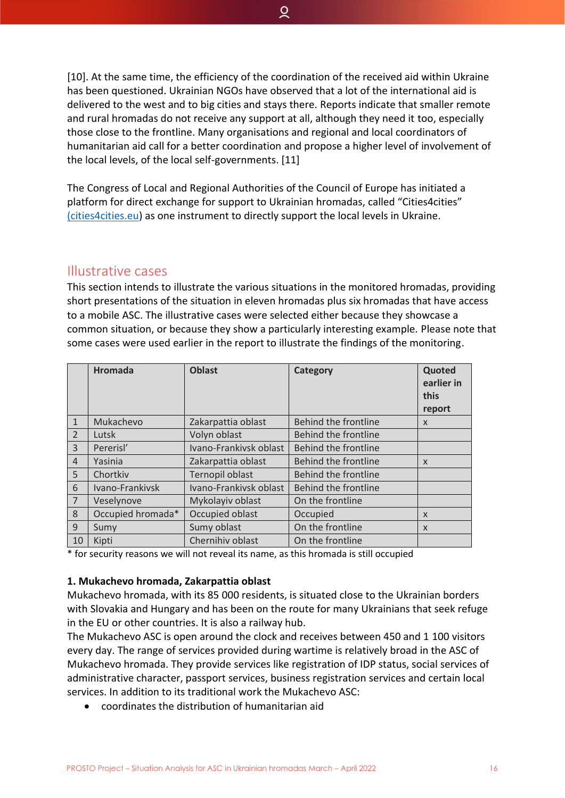[10]. At the same time, the efficiency of the coordination of the received aid within Ukraine has been questioned. Ukrainian NGOs have observed that a lot of the international aid is delivered to the west and to big cities and stays there. Reports indicate that smaller remote and rural hromadas do not receive any support at all, although they need it too, especially those close to the frontline. Many organisations and regional and local coordinators of humanitarian aid call for a better coordination and propose a higher level of involvement of the local levels, of the local self-governments. [11]

ୁ

The Congress of Local and Regional Authorities of the Council of Europe has initiated a platform for direct exchange for support to Ukrainian hromadas, called "Cities4cities" [\(cities4cities.eu\)](https://cities4cities.eu/) as one instrument to directly support the local levels in Ukraine.

# <span id="page-16-0"></span>Illustrative cases

This section intends to illustrate the various situations in the monitored hromadas, providing short presentations of the situation in eleven hromadas plus six hromadas that have access to a mobile ASC. The illustrative cases were selected either because they showcase a common situation, or because they show a particularly interesting example. Please note that some cases were used earlier in the report to illustrate the findings of the monitoring.

|                | <b>Hromada</b>    | <b>Oblast</b>          | Category                    | Quoted<br>earlier in<br>this<br>report |
|----------------|-------------------|------------------------|-----------------------------|----------------------------------------|
| $\mathbf{1}$   | Mukachevo         | Zakarpattia oblast     | <b>Behind the frontline</b> | X                                      |
| $\overline{2}$ | Lutsk             | Volyn oblast           | Behind the frontline        |                                        |
| $\overline{3}$ | Pererisl'         | Ivano-Frankivsk oblast | Behind the frontline        |                                        |
| $\overline{4}$ | Yasinia           | Zakarpattia oblast     | Behind the frontline        | $\mathsf{x}$                           |
| 5              | Chortkiv          | Ternopil oblast        | Behind the frontline        |                                        |
| 6              | Ivano-Frankivsk   | Ivano-Frankivsk oblast | Behind the frontline        |                                        |
| $\overline{7}$ | Veselynove        | Mykolayiv oblast       | On the frontline            |                                        |
| 8              | Occupied hromada* | Occupied oblast        | Occupied                    | X                                      |
| 9              | Sumy              | Sumy oblast            | On the frontline            | X                                      |
| 10             | Kipti             | Chernihiv oblast       | On the frontline            |                                        |

\* for security reasons we will not reveal its name, as this hromada is still occupied

#### **1. Mukachevo hromada, Zakarpattia oblast**

Mukachevo hromada, with its 85 000 residents, is situated close to the Ukrainian borders with Slovakia and Hungary and has been on the route for many Ukrainians that seek refuge in the EU or other countries. It is also a railway hub.

The Mukachevo ASC is open around the clock and receives between 450 and 1 100 visitors every day. The range of services provided during wartime is relatively broad in the ASC of Mukachevo hromada. They provide services like registration of IDP status, social services of administrative character, passport services, business registration services and certain local services. In addition to its traditional work the Mukachevo ASC:

• coordinates the distribution of humanitarian aid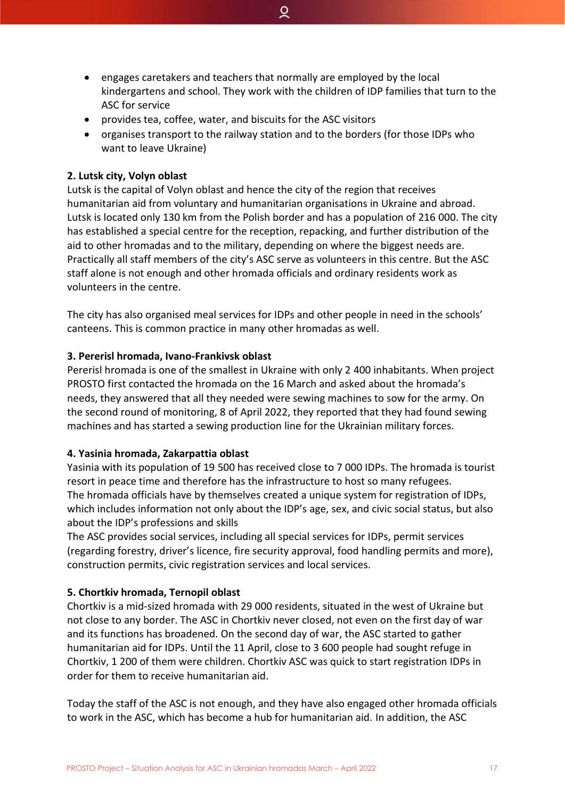• engages caretakers and teachers that normally are employed by the local kindergartens and school. They work with the children of IDP families that turn to the ASC for service

ୁ

- provides tea, coffee, water, and biscuits for the ASC visitors
- organises transport to the railway station and to the borders (for those IDPs who want to leave Ukraine)

#### **2. Lutsk city, Volyn oblast**

Lutsk is the capital of Volyn oblast and hence the city of the region that receives humanitarian aid from voluntary and humanitarian organisations in Ukraine and abroad. Lutsk is located only 130 km from the Polish border and has a population of 216 000. The city has established a special centre for the reception, repacking, and further distribution of the aid to other hromadas and to the military, depending on where the biggest needs are. Practically all staff members of the city's ASC serve as volunteers in this centre. But the ASC staff alone is not enough and other hromada officials and ordinary residents work as volunteers in the centre.

The city has also organised meal services for IDPs and other people in need in the schools' canteens. This is common practice in many other hromadas as well.

#### **3. Pererisl hromada, Ivano-Frankivsk oblast**

Pererisl hromada is one of the smallest in Ukraine with only 2 400 inhabitants. When project PROSTO first contacted the hromada on the 16 March and asked about the hromada's needs, they answered that all they needed were sewing machines to sow for the army. On the second round of monitoring, 8 of April 2022, they reported that they had found sewing machines and has started a sewing production line for the Ukrainian military forces.

#### **4. Yasinia hromada, Zakarpattia oblast**

Yasinia with its population of 19 500 has received close to 7 000 IDPs. The hromada is tourist resort in peace time and therefore has the infrastructure to host so many refugees. The hromada officials have by themselves created a unique system for registration of IDPs, which includes information not only about the IDP's age, sex, and civic social status, but also about the IDP's professions and skills

The ASC provides social services, including all special services for IDPs, permit services (regarding forestry, driver's licence, fire security approval, food handling permits and more), construction permits, civic registration services and local services.

#### **5. Chortkiv hromada, Ternopil oblast**

Chortkiv is a mid-sized hromada with 29 000 residents, situated in the west of Ukraine but not close to any border. The ASC in Chortkiv never closed, not even on the first day of war and its functions has broadened. On the second day of war, the ASC started to gather humanitarian aid for IDPs. Until the 11 April, close to 3 600 people had sought refuge in Chortkiv, 1 200 of them were children. Chortkiv ASC was quick to start registration IDPs in order for them to receive humanitarian aid.

Today the staff of the ASC is not enough, and they have also engaged other hromada officials to work in the ASC, which has become a hub for humanitarian aid. In addition, the ASC

PROSTO Project – Situation Analysis for ASC in Ukrainian hromadas March – April 2022 17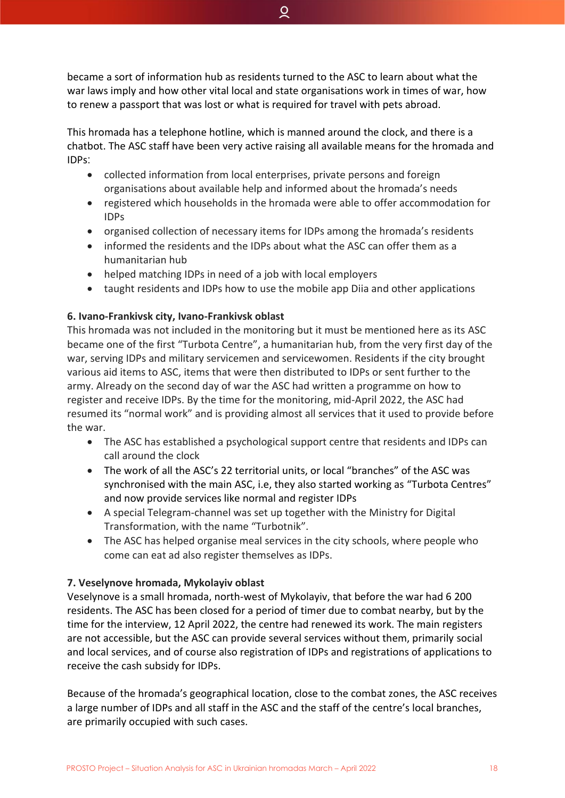became a sort of information hub as residents turned to the ASC to learn about what the war laws imply and how other vital local and state organisations work in times of war, how to renew a passport that was lost or what is required for travel with pets abroad.

This hromada has a telephone hotline, which is manned around the clock, and there is a chatbot. The ASC staff have been very active raising all available means for the hromada and IDPs:

- collected information from local enterprises, private persons and foreign organisations about available help and informed about the hromada's needs
- registered which households in the hromada were able to offer accommodation for IDPs
- organised collection of necessary items for IDPs among the hromada's residents
- informed the residents and the IDPs about what the ASC can offer them as a humanitarian hub
- helped matching IDPs in need of a job with local employers
- taught residents and IDPs how to use the mobile app Diia and other applications

#### **6. Ivano-Frankivsk city, Ivano-Frankivsk oblast**

This hromada was not included in the monitoring but it must be mentioned here as its ASC became one of the first "Turbota Centre", a humanitarian hub, from the very first day of the war, serving IDPs and military servicemen and servicewomen. Residents if the city brought various aid items to ASC, items that were then distributed to IDPs or sent further to the army. Already on the second day of war the ASC had written a programme on how to register and receive IDPs. By the time for the monitoring, mid-April 2022, the ASC had resumed its "normal work" and is providing almost all services that it used to provide before the war.

- The ASC has established a psychological support centre that residents and IDPs can call around the clock
- The work of all the ASC's 22 territorial units, or local "branches" of the ASC was synchronised with the main ASC, i.e, they also started working as "Turbota Centres" and now provide services like normal and register IDPs
- A special Telegram-channel was set up together with the Ministry for Digital Transformation, with the name "Turbotnik".
- The ASC has helped organise meal services in the city schools, where people who come can eat ad also register themselves as IDPs.

#### **7. Veselynove hromada, Mykolayiv oblast**

Veselynove is a small hromada, north-west of Mykolayiv, that before the war had 6 200 residents. The ASC has been closed for a period of timer due to combat nearby, but by the time for the interview, 12 April 2022, the centre had renewed its work. The main registers are not accessible, but the ASC can provide several services without them, primarily social and local services, and of course also registration of IDPs and registrations of applications to receive the cash subsidy for IDPs.

Because of the hromada's geographical location, close to the combat zones, the ASC receives a large number of IDPs and all staff in the ASC and the staff of the centre's local branches, are primarily occupied with such cases.

ୁ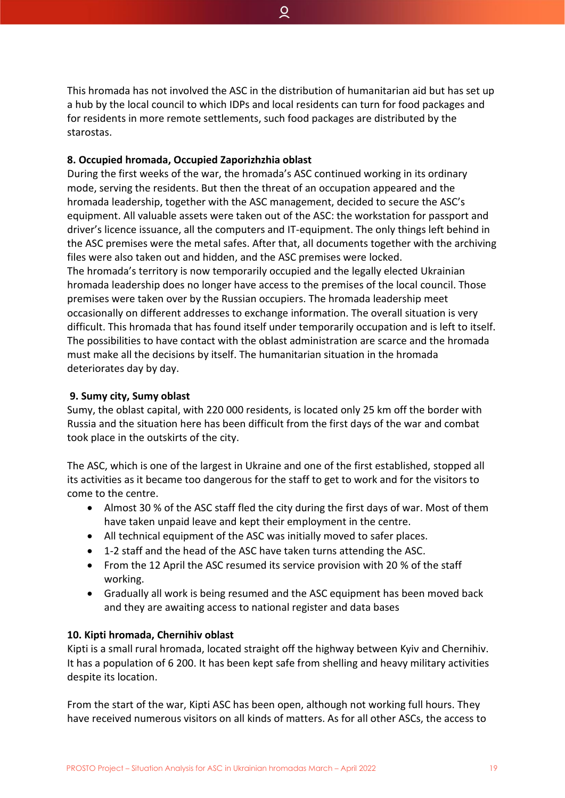This hromada has not involved the ASC in the distribution of humanitarian aid but has set up a hub by the local council to which IDPs and local residents can turn for food packages and for residents in more remote settlements, such food packages are distributed by the starostas.

ୁ

#### **8. Occupied hromada, Occupied Zaporizhzhia oblast**

During the first weeks of the war, the hromada's ASC continued working in its ordinary mode, serving the residents. But then the threat of an occupation appeared and the hromada leadership, together with the ASC management, decided to secure the ASC's equipment. All valuable assets were taken out of the ASC: the workstation for passport and driver's licence issuance, all the computers and IT-equipment. The only things left behind in the ASC premises were the metal safes. After that, all documents together with the archiving files were also taken out and hidden, and the ASC premises were locked.

The hromada's territory is now temporarily occupied and the legally elected Ukrainian hromada leadership does no longer have access to the premises of the local council. Those premises were taken over by the Russian occupiers. The hromada leadership meet occasionally on different addresses to exchange information. The overall situation is very difficult. This hromada that has found itself under temporarily occupation and is left to itself. The possibilities to have contact with the oblast administration are scarce and the hromada must make all the decisions by itself. The humanitarian situation in the hromada deteriorates day by day.

#### **9. Sumy city, Sumy oblast**

Sumy, the oblast capital, with 220 000 residents, is located only 25 km off the border with Russia and the situation here has been difficult from the first days of the war and combat took place in the outskirts of the city.

The ASC, which is one of the largest in Ukraine and one of the first established, stopped all its activities as it became too dangerous for the staff to get to work and for the visitors to come to the centre.

- Almost 30 % of the ASC staff fled the city during the first days of war. Most of them have taken unpaid leave and kept their employment in the centre.
- All technical equipment of the ASC was initially moved to safer places.
- 1-2 staff and the head of the ASC have taken turns attending the ASC.
- From the 12 April the ASC resumed its service provision with 20 % of the staff working.
- Gradually all work is being resumed and the ASC equipment has been moved back and they are awaiting access to national register and data bases

#### **10. Kipti hromada, Chernihiv oblast**

Kipti is a small rural hromada, located straight off the highway between Kyiv and Chernihiv. It has a population of 6 200. It has been kept safe from shelling and heavy military activities despite its location.

From the start of the war, Kipti ASC has been open, although not working full hours. They have received numerous visitors on all kinds of matters. As for all other ASCs, the access to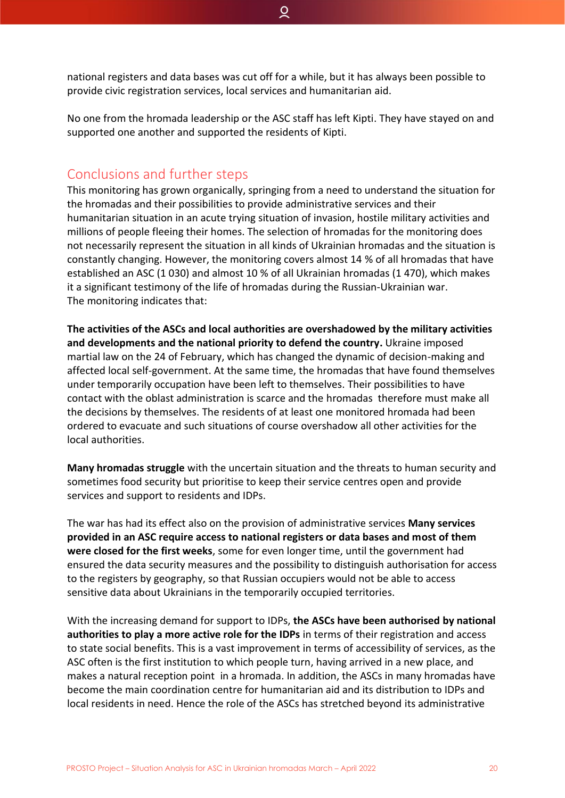national registers and data bases was cut off for a while, but it has always been possible to provide civic registration services, local services and humanitarian aid.

ୁ

No one from the hromada leadership or the ASC staff has left Kipti. They have stayed on and supported one another and supported the residents of Kipti.

# <span id="page-20-0"></span>Conclusions and further steps

This monitoring has grown organically, springing from a need to understand the situation for the hromadas and their possibilities to provide administrative services and their humanitarian situation in an acute trying situation of invasion, hostile military activities and millions of people fleeing their homes. The selection of hromadas for the monitoring does not necessarily represent the situation in all kinds of Ukrainian hromadas and the situation is constantly changing. However, the monitoring covers almost 14 % of all hromadas that have established an ASC (1 030) and almost 10 % of all Ukrainian hromadas (1 470), which makes it a significant testimony of the life of hromadas during the Russian-Ukrainian war. The monitoring indicates that:

**The activities of the ASCs and local authorities are overshadowed by the military activities and developments and the national priority to defend the country.** Ukraine imposed martial law on the 24 of February, which has changed the dynamic of decision-making and affected local self-government. At the same time, the hromadas that have found themselves under temporarily occupation have been left to themselves. Their possibilities to have contact with the oblast administration is scarce and the hromadas therefore must make all the decisions by themselves. The residents of at least one monitored hromada had been ordered to evacuate and such situations of course overshadow all other activities for the local authorities.

**Many hromadas struggle** with the uncertain situation and the threats to human security and sometimes food security but prioritise to keep their service centres open and provide services and support to residents and IDPs.

The war has had its effect also on the provision of administrative services **Many services provided in an ASC require access to national registers or data bases and most of them were closed for the first weeks**, some for even longer time, until the government had ensured the data security measures and the possibility to distinguish authorisation for access to the registers by geography, so that Russian occupiers would not be able to access sensitive data about Ukrainians in the temporarily occupied territories.

With the increasing demand for support to IDPs, **the ASCs have been authorised by national authorities to play a more active role for the IDPs** in terms of their registration and access to state social benefits. This is a vast improvement in terms of accessibility of services, as the ASC often is the first institution to which people turn, having arrived in a new place, and makes a natural reception point in a hromada. In addition, the ASCs in many hromadas have become the main coordination centre for humanitarian aid and its distribution to IDPs and local residents in need. Hence the role of the ASCs has stretched beyond its administrative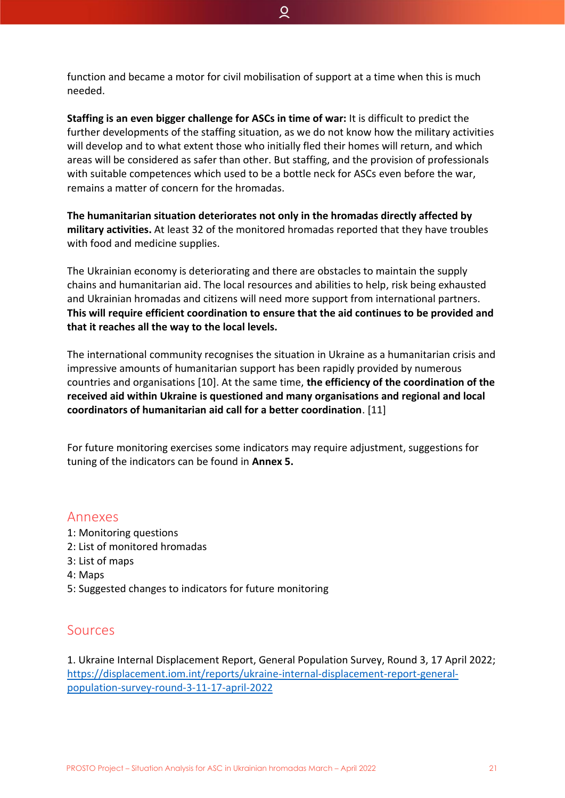ୁ

**Staffing is an even bigger challenge for ASCs in time of war:** It is difficult to predict the further developments of the staffing situation, as we do not know how the military activities will develop and to what extent those who initially fled their homes will return, and which areas will be considered as safer than other. But staffing, and the provision of professionals with suitable competences which used to be a bottle neck for ASCs even before the war, remains a matter of concern for the hromadas.

**The humanitarian situation deteriorates not only in the hromadas directly affected by military activities.** At least 32 of the monitored hromadas reported that they have troubles with food and medicine supplies.

The Ukrainian economy is deteriorating and there are obstacles to maintain the supply chains and humanitarian aid. The local resources and abilities to help, risk being exhausted and Ukrainian hromadas and citizens will need more support from international partners. **This will require efficient coordination to ensure that the aid continues to be provided and that it reaches all the way to the local levels.** 

The international community recognises the situation in Ukraine as a humanitarian crisis and impressive amounts of humanitarian support has been rapidly provided by numerous countries and organisations [10]. At the same time, **the efficiency of the coordination of the received aid within Ukraine is questioned and many organisations and regional and local coordinators of humanitarian aid call for a better coordination**. [11]

For future monitoring exercises some indicators may require adjustment, suggestions for tuning of the indicators can be found in **Annex 5.**

# <span id="page-21-0"></span>Annexes

- 1: Monitoring questions
- 2: List of monitored hromadas
- 3: List of maps
- 4: Maps
- 5: Suggested changes to indicators for future monitoring

# <span id="page-21-1"></span>Sources

1. Ukraine Internal Displacement Report, General Population Survey, Round 3, 17 April 2022; [https://displacement.iom.int/reports/ukraine-internal-displacement-report-general](https://displacement.iom.int/reports/ukraine-internal-displacement-report-general-population-survey-round-3-11-17-april-2022)[population-survey-round-3-11-17-april-2022](https://displacement.iom.int/reports/ukraine-internal-displacement-report-general-population-survey-round-3-11-17-april-2022)